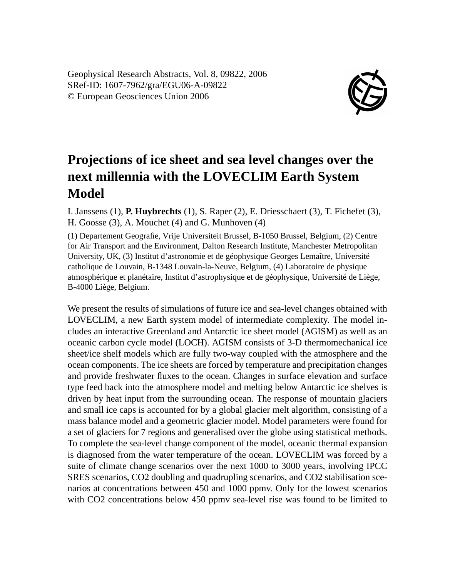Geophysical Research Abstracts, Vol. 8, 09822, 2006 SRef-ID: 1607-7962/gra/EGU06-A-09822 © European Geosciences Union 2006



## **Projections of ice sheet and sea level changes over the next millennia with the LOVECLIM Earth System Model**

I. Janssens (1), **P. Huybrechts** (1), S. Raper (2), E. Driesschaert (3), T. Fichefet (3), H. Goosse (3), A. Mouchet (4) and G. Munhoven (4)

(1) Departement Geografie, Vrije Universiteit Brussel, B-1050 Brussel, Belgium, (2) Centre for Air Transport and the Environment, Dalton Research Institute, Manchester Metropolitan University, UK, (3) Institut d'astronomie et de géophysique Georges Lemaître, Université catholique de Louvain, B-1348 Louvain-la-Neuve, Belgium, (4) Laboratoire de physique atmosphérique et planétaire, Institut d'astrophysique et de géophysique, Université de Liège, B-4000 Liège, Belgium.

We present the results of simulations of future ice and sea-level changes obtained with LOVECLIM, a new Earth system model of intermediate complexity. The model includes an interactive Greenland and Antarctic ice sheet model (AGISM) as well as an oceanic carbon cycle model (LOCH). AGISM consists of 3-D thermomechanical ice sheet/ice shelf models which are fully two-way coupled with the atmosphere and the ocean components. The ice sheets are forced by temperature and precipitation changes and provide freshwater fluxes to the ocean. Changes in surface elevation and surface type feed back into the atmosphere model and melting below Antarctic ice shelves is driven by heat input from the surrounding ocean. The response of mountain glaciers and small ice caps is accounted for by a global glacier melt algorithm, consisting of a mass balance model and a geometric glacier model. Model parameters were found for a set of glaciers for 7 regions and generalised over the globe using statistical methods. To complete the sea-level change component of the model, oceanic thermal expansion is diagnosed from the water temperature of the ocean. LOVECLIM was forced by a suite of climate change scenarios over the next 1000 to 3000 years, involving IPCC SRES scenarios, CO2 doubling and quadrupling scenarios, and CO2 stabilisation scenarios at concentrations between 450 and 1000 ppmv. Only for the lowest scenarios with CO2 concentrations below 450 ppmv sea-level rise was found to be limited to